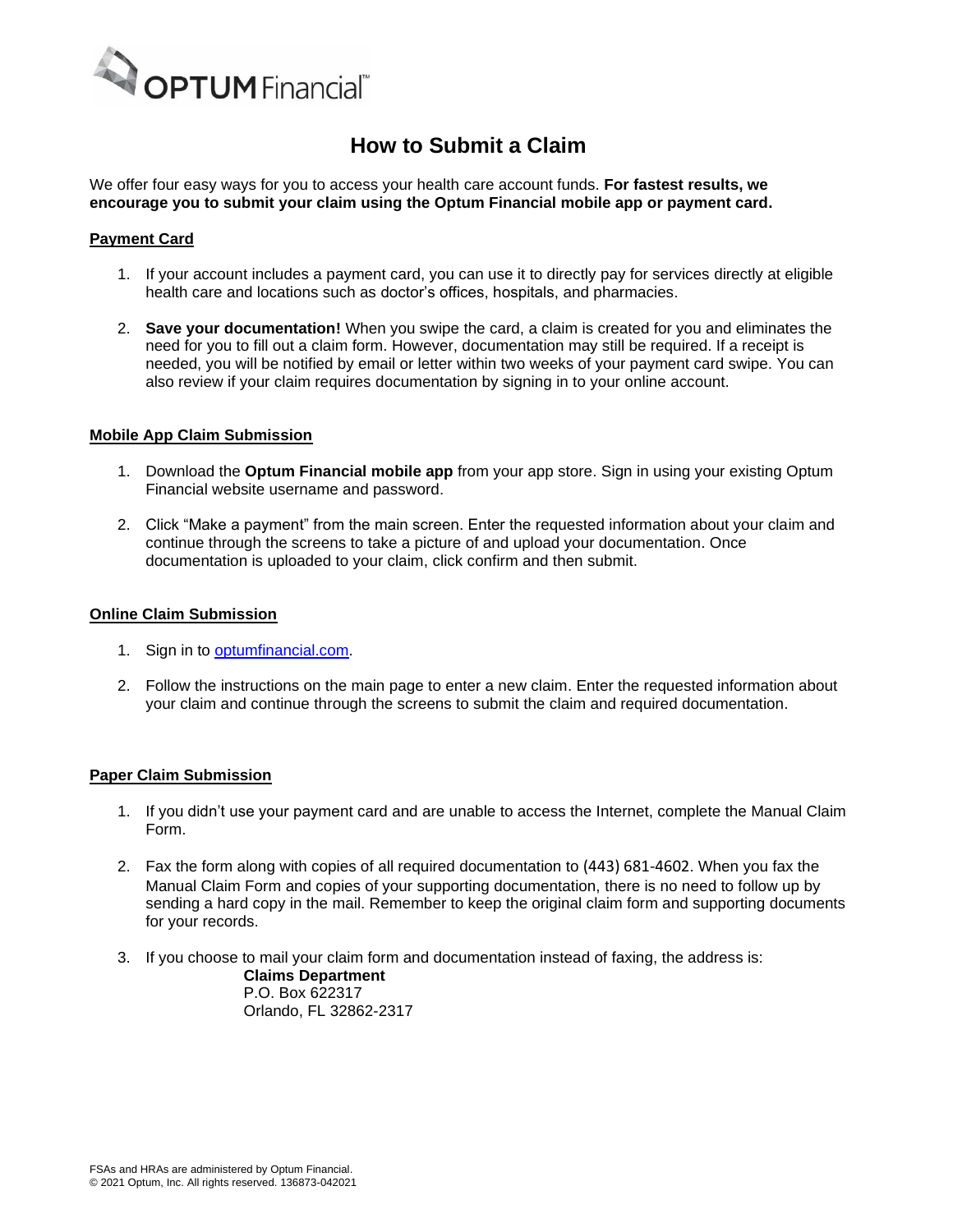

## **How to Submit a Claim**

We offer four easy ways for you to access your health care account funds. **For fastest results, we encourage you to submit your claim using the Optum Financial mobile app or payment card.**

## **Payment Card**

- 1. If your account includes a payment card, you can use it to directly pay for services directly at eligible health care and locations such as doctor's offices, hospitals, and pharmacies.
- 2. **Save your documentation!** When you swipe the card, a claim is created for you and eliminates the need for you to fill out a claim form. However, documentation may still be required. If a receipt is needed, you will be notified by email or letter within two weeks of your payment card swipe. You can also review if your claim requires documentation by signing in to your online account.

### **Mobile App Claim Submission**

- 1. Download the **Optum Financial mobile app** from your app store. Sign in using your existing Optum Financial website username and password.
- 2. Click "Make a payment" from the main screen. Enter the requested information about your claim and continue through the screens to take a picture of and upload your documentation. Once documentation is uploaded to your claim, click confirm and then submit.

#### **Online Claim Submission**

- 1. Sign in to [optumfinancial.com.](https://www.optum.com/financial)
- 2. Follow the instructions on the main page to enter a new claim. Enter the requested information about your claim and continue through the screens to submit the claim and required documentation.

### **Paper Claim Submission**

- 1. If you didn't use your payment card and are unable to access the Internet, complete the Manual Claim Form.
- 2. Fax the form along with copies of all required documentation to (443) 681-4602. When you fax the Manual Claim Form and copies of your supporting documentation, there is no need to follow up by sending a hard copy in the mail. Remember to keep the original claim form and supporting documents for your records.
- 3. If you choose to mail your claim form and documentation instead of faxing, the address is: **Claims Department**

P.O. Box 622317 Orlando, FL 32862-2317